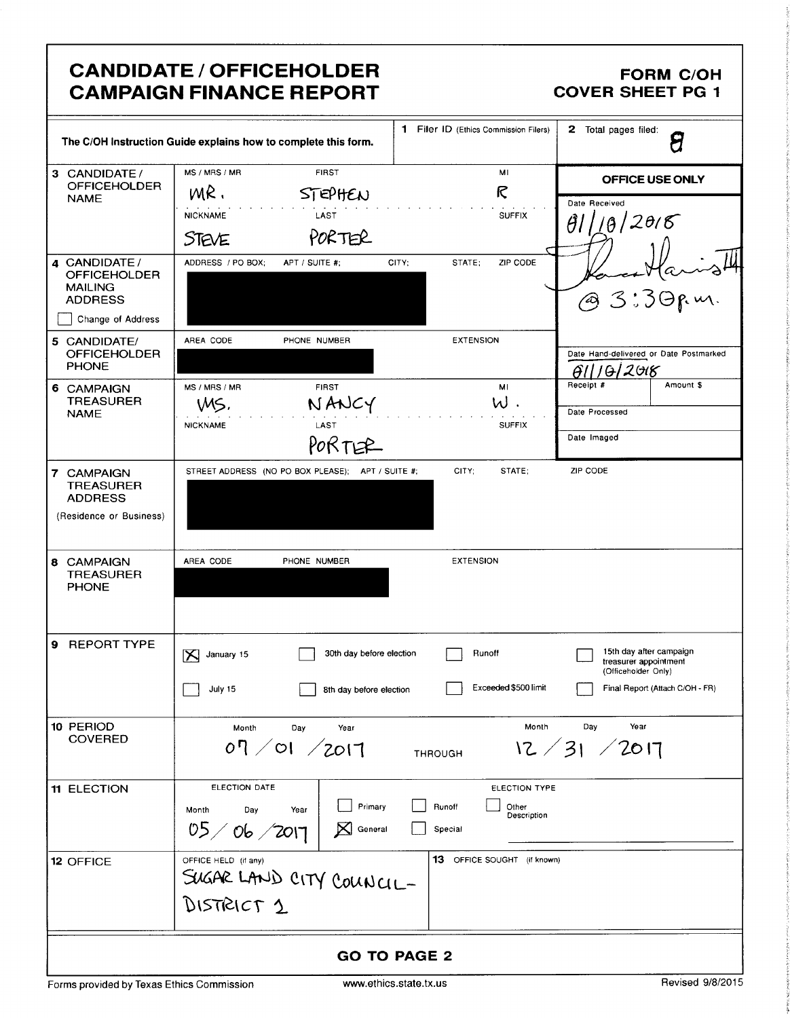# **CANDIDATE / OFFICEHOLDER CAMPAIGN FINANCE REPORT**

#### **FORM C/OH COVER SHEET PG 1**

|                                                                                               | The C/OH Instruction Guide explains how to complete this form.                                | <b>1</b> Filer ID (Ethics Commission Filers)               | 2 Total pages filed:<br>8                                                                                  |
|-----------------------------------------------------------------------------------------------|-----------------------------------------------------------------------------------------------|------------------------------------------------------------|------------------------------------------------------------------------------------------------------------|
| 3 CANDIDATE /<br><b>OFFICEHOLDER</b><br><b>NAME</b>                                           | MS / MRS / MR<br><b>FIRST</b><br>MR.<br>STEPHEN<br><b>NICKNAME</b><br>LAST<br>PORTER<br>STEVE | MI<br>R<br><b>SUFFIX</b>                                   | OFFICE USE ONLY<br>Date Received<br>10/2015<br>θI                                                          |
| 4 CANDIDATE /<br><b>OFFICEHOLDER</b><br><b>MAILING</b><br><b>ADDRESS</b><br>Change of Address | ADDRESS / PO BOX;<br>APT / SUITE #;                                                           | CITY;<br>STATE;<br>ZIP CODE                                | @ 3:30 p.m.                                                                                                |
| 5 CANDIDATE/<br><b>OFFICEHOLDER</b><br><b>PHONE</b>                                           | AREA CODE<br>PHONE NUMBER                                                                     | <b>EXTENSION</b>                                           | Date Hand-delivered or Date Postmarked<br>GII 1012018                                                      |
| 6 CAMPAIGN<br><b>TREASURER</b><br><b>NAME</b>                                                 | MS / MRS / MR<br><b>FIRST</b><br>NANCY<br>WS,<br>LAST<br><b>NICKNAME</b><br>PORTER            | MI<br>W.<br><b>SUFFIX</b>                                  | Receipt #<br>Amount \$<br>Date Processed<br>Date Imaged                                                    |
| <b>7 CAMPAIGN</b><br><b>TREASURER</b><br><b>ADDRESS</b><br>(Residence or Business)            | STREET ADDRESS (NO PO BOX PLEASE); APT / SUITE #;                                             | CITY;<br>STATE;                                            | ZIP CODE                                                                                                   |
| 8 CAMPAIGN<br><b>TREASURER</b><br><b>PHONE</b>                                                | AREA CODE<br>PHONE NUMBER                                                                     | <b>EXTENSION</b>                                           |                                                                                                            |
| <b>REPORT TYPE</b><br>9                                                                       | 30th day before election<br>K<br>January 15<br>July 15<br>  8th day before election           | Runoff<br>Exceeded \$500 limit                             | 15th day after campaign<br>treasurer appointment<br>(Officeholder Only)<br>Final Report (Attach C/OH - FR) |
| 10 PERIOD<br><b>COVERED</b>                                                                   | Month<br>Day<br>Year<br>07/01/2017                                                            | Month<br><b>THROUGH</b>                                    | Year<br>Day<br>12 / 31 / 2017                                                                              |
| 11 ELECTION                                                                                   | ELECTION DATE<br>Primary<br>Month<br>Day<br>Year<br>05/06/201<br>$\mathbf{X}$ General         | ELECTION TYPE<br>Runoff<br>Other<br>Description<br>Special |                                                                                                            |
| 12 OFFICE                                                                                     | OFFICE HELD (if any)<br>SUGAR LAND CITY COUNCIL-<br>DISTRICT 1                                | 13 OFFICE SOUGHT (if known)                                |                                                                                                            |
| <b>GO TO PAGE 2</b>                                                                           |                                                                                               |                                                            |                                                                                                            |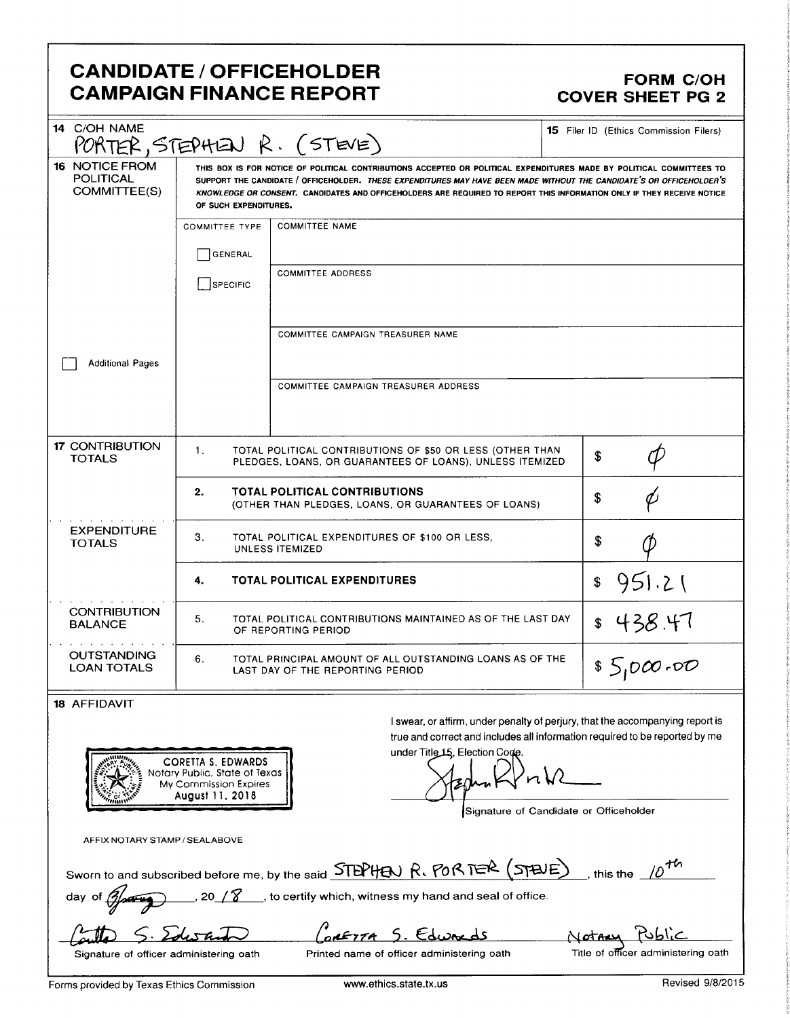## CANDIDATE / OFFICEHOLDER FORM C/OH CAMPAIGN FINANCE REPORT COVER SHEET PG 2

| 14 C/OH NAME                                              |                                                                                                                                                                                                                                                                                                                                                                                                  | PORTER, STEPHEN R. (STEVE)                                                                                            | <b>15</b> Filer ID (Ethics Commission Filers)                                 |
|-----------------------------------------------------------|--------------------------------------------------------------------------------------------------------------------------------------------------------------------------------------------------------------------------------------------------------------------------------------------------------------------------------------------------------------------------------------------------|-----------------------------------------------------------------------------------------------------------------------|-------------------------------------------------------------------------------|
| <b>16 NOTICE FROM</b><br><b>POLITICAL</b><br>COMMITTEE(S) | THIS BOX IS FOR NOTICE OF POLITICAL CONTRIBUTIONS ACCEPTED OR POLITICAL EXPENDITURES MADE BY POLITICAL COMMITTEES TO<br>SUPPORT THE CANDIDATE / OFFICEHOLDER. THESE EXPENDITURES MAY HAVE BEEN MADE WITHOUT THE CANDIDATE'S OR OFFICEHOLDER'S<br>KNOWLEDGE OR CONSENT. CANDIDATES AND OFFICEHOLDERS ARE REQUIRED TO REPORT THIS INFORMATION ONLY IF THEY RECEIVE NOTICE<br>OF SUCH EXPENDITURES. |                                                                                                                       |                                                                               |
|                                                           | <b>COMMITTEE TYPE</b>                                                                                                                                                                                                                                                                                                                                                                            | <b>COMMITTEE NAME</b>                                                                                                 |                                                                               |
|                                                           | GENERAL                                                                                                                                                                                                                                                                                                                                                                                          |                                                                                                                       |                                                                               |
|                                                           | SPECIFIC                                                                                                                                                                                                                                                                                                                                                                                         | <b>COMMITTEE ADDRESS</b>                                                                                              |                                                                               |
|                                                           |                                                                                                                                                                                                                                                                                                                                                                                                  |                                                                                                                       |                                                                               |
|                                                           |                                                                                                                                                                                                                                                                                                                                                                                                  |                                                                                                                       |                                                                               |
|                                                           |                                                                                                                                                                                                                                                                                                                                                                                                  | COMMITTEE CAMPAIGN TREASURER NAME                                                                                     |                                                                               |
| <b>Additional Pages</b>                                   |                                                                                                                                                                                                                                                                                                                                                                                                  |                                                                                                                       |                                                                               |
|                                                           |                                                                                                                                                                                                                                                                                                                                                                                                  | COMMITTEE CAMPAIGN TREASURER ADDRESS                                                                                  |                                                                               |
|                                                           |                                                                                                                                                                                                                                                                                                                                                                                                  |                                                                                                                       |                                                                               |
| <b>17 CONTRIBUTION</b>                                    |                                                                                                                                                                                                                                                                                                                                                                                                  |                                                                                                                       |                                                                               |
| TOTALS                                                    | 1.                                                                                                                                                                                                                                                                                                                                                                                               | TOTAL POLITICAL CONTRIBUTIONS OF \$50 OR LESS (OTHER THAN<br>PLEDGES, LOANS, OR GUARANTEES OF LOANS), UNLESS ITEMIZED | \$                                                                            |
|                                                           | 2.                                                                                                                                                                                                                                                                                                                                                                                               | <b>TOTAL POLITICAL CONTRIBUTIONS</b>                                                                                  | \$                                                                            |
|                                                           |                                                                                                                                                                                                                                                                                                                                                                                                  | (OTHER THAN PLEDGES, LOANS, OR GUARANTEES OF LOANS)                                                                   |                                                                               |
| <b>EXPENDITURE</b><br><b>TOTALS</b>                       | З.                                                                                                                                                                                                                                                                                                                                                                                               | TOTAL POLITICAL EXPENDITURES OF \$100 OR LESS.<br>UNLESS ITEMIZED                                                     | \$                                                                            |
|                                                           | 4.                                                                                                                                                                                                                                                                                                                                                                                               | <b>TOTAL POLITICAL EXPENDITURES</b>                                                                                   | 951.21<br>\$                                                                  |
| <b>CONTRIBUTION</b><br><b>BALANCE</b>                     | 438.47<br>5.<br>TOTAL POLITICAL CONTRIBUTIONS MAINTAINED AS OF THE LAST DAY<br>\$<br>OF REPORTING PERIOD                                                                                                                                                                                                                                                                                         |                                                                                                                       |                                                                               |
| <b>OUTSTANDING</b><br><b>LOAN TOTALS</b>                  | 6.                                                                                                                                                                                                                                                                                                                                                                                               | TOTAL PRINCIPAL AMOUNT OF ALL OUTSTANDING LOANS AS OF THE<br>LAST DAY OF THE REPORTING PERIOD                         | \$5,000.00                                                                    |
| 18 AFFIDAVIT                                              |                                                                                                                                                                                                                                                                                                                                                                                                  |                                                                                                                       |                                                                               |
|                                                           |                                                                                                                                                                                                                                                                                                                                                                                                  |                                                                                                                       | I swear, or affirm, under penalty of perjury, that the accompanying report is |
|                                                           |                                                                                                                                                                                                                                                                                                                                                                                                  | under Title 15, Election Code.                                                                                        | true and correct and includes all information required to be reported by me   |
|                                                           | <b>CORETTA S. EDWARDS</b><br>Notary Public, State of Texas                                                                                                                                                                                                                                                                                                                                       |                                                                                                                       |                                                                               |
|                                                           | My Commission Expires<br>August 11, 2018                                                                                                                                                                                                                                                                                                                                                         |                                                                                                                       |                                                                               |
|                                                           |                                                                                                                                                                                                                                                                                                                                                                                                  |                                                                                                                       | Signature of Candidate or Officeholder                                        |
| AFFIX NOTARY STAMP / SEALABOVE                            |                                                                                                                                                                                                                                                                                                                                                                                                  |                                                                                                                       |                                                                               |

| Sworn to and subscribed before me, by the said STEPHEN R. PORTER (STEUE), this the 10 <sup>th</sup> |  |
|-----------------------------------------------------------------------------------------------------|--|
| $\mathcal{L} = \mathcal{L}$                                                                         |  |

day of  $\mathscr{D}$ , 20 /  $\mathscr{C}$ , to certify which, witness my hand and seal of office.

Gulla S. Edus and Contrar S. Edusards Mother Public Signature of officer administering oath<br>Signature of officer administering oath Printed name of officer administering oath Title of officer administering oath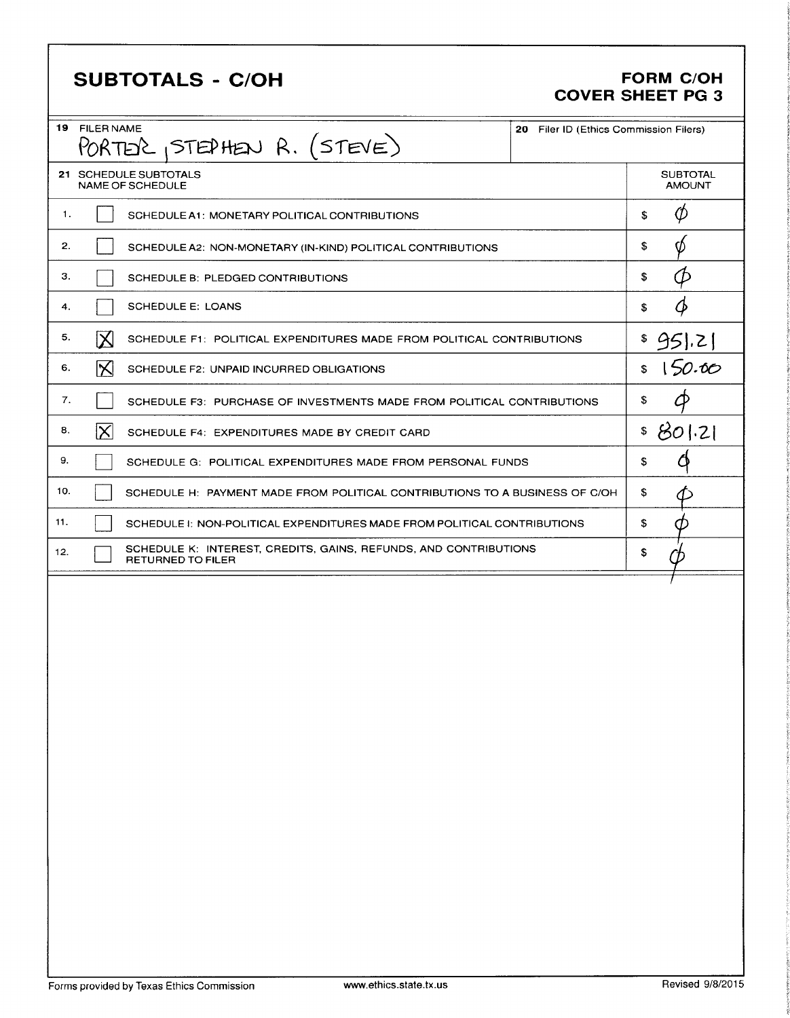| 21 SCHEDULE SUBTOTALS<br><b>SUBTOTAL</b><br>NAME OF SCHEDULE<br><b>AMOUNT</b><br>$\phi$<br>1.<br>\$<br>SCHEDULE A1: MONETARY POLITICAL CONTRIBUTIONS<br>\$<br>2.<br>Ø<br>SCHEDULE A2: NON-MONETARY (IN-KIND) POLITICAL CONTRIBUTIONS<br>Ø<br>\$<br>з.<br>SCHEDULE B: PLEDGED CONTRIBUTIONS<br>Ø<br><b>SCHEDULE E: LOANS</b><br>\$<br>4.<br>5.<br>$\mathsf{X}% _{0}^{X\rightarrow\mathsf{X}}\equiv\mathsf{X}_{0}^{X\rightarrow\mathsf{X}}\equiv\mathsf{X}_{0}^{X\rightarrow\mathsf{X}}\equiv\mathsf{X}_{0}^{X\rightarrow\mathsf{X}}\equiv\mathsf{X}_{1}^{X\rightarrow\mathsf{X}}\equiv\mathsf{X}_{2}^{X\rightarrow\mathsf{X}}\equiv\mathsf{X}_{3}^{X\rightarrow\mathsf{X}}\equiv\mathsf{X}_{4}^{X\rightarrow\mathsf{X}}\equiv\mathsf{X}_{5}^{X\rightarrow\mathsf{X}}\equiv\mathsf{X}_{6}^{X\rightarrow\mathsf{X}}\equiv\mathsf{X}_{7}^{X\rightarrow\mathsf{X}}$<br>95 .2 <br>SCHEDULE F1: POLITICAL EXPENDITURES MADE FROM POLITICAL CONTRIBUTIONS<br>150.00<br>∣╳∣<br>$\mathsf{\$}$<br>6.<br>SCHEDULE F2: UNPAID INCURRED OBLIGATIONS<br>Ф<br>7.<br>\$<br>SCHEDULE F3: PURCHASE OF INVESTMENTS MADE FROM POLITICAL CONTRIBUTIONS<br>\$801.21<br>$ \times $<br>8.<br>SCHEDULE F4: EXPENDITURES MADE BY CREDIT CARD<br>Ő<br>9.<br>\$<br>SCHEDULE G: POLITICAL EXPENDITURES MADE FROM PERSONAL FUNDS<br>10.<br>\$<br>SCHEDULE H: PAYMENT MADE FROM POLITICAL CONTRIBUTIONS TO A BUSINESS OF C/OH<br>11.<br>\$<br>SCHEDULE 1: NON-POLITICAL EXPENDITURES MADE FROM POLITICAL CONTRIBUTIONS<br>Œ<br>SCHEDULE K: INTEREST, CREDITS, GAINS, REFUNDS, AND CONTRIBUTIONS<br>12.<br>\$ |
|------------------------------------------------------------------------------------------------------------------------------------------------------------------------------------------------------------------------------------------------------------------------------------------------------------------------------------------------------------------------------------------------------------------------------------------------------------------------------------------------------------------------------------------------------------------------------------------------------------------------------------------------------------------------------------------------------------------------------------------------------------------------------------------------------------------------------------------------------------------------------------------------------------------------------------------------------------------------------------------------------------------------------------------------------------------------------------------------------------------------------------------------------------------------------------------------------------------------------------------------------------------------------------------------------------------------------------------------------------------------------------------------------------------------------------------------------------------------------------------------------------------------------------------------------------------------------|
|                                                                                                                                                                                                                                                                                                                                                                                                                                                                                                                                                                                                                                                                                                                                                                                                                                                                                                                                                                                                                                                                                                                                                                                                                                                                                                                                                                                                                                                                                                                                                                              |
|                                                                                                                                                                                                                                                                                                                                                                                                                                                                                                                                                                                                                                                                                                                                                                                                                                                                                                                                                                                                                                                                                                                                                                                                                                                                                                                                                                                                                                                                                                                                                                              |
|                                                                                                                                                                                                                                                                                                                                                                                                                                                                                                                                                                                                                                                                                                                                                                                                                                                                                                                                                                                                                                                                                                                                                                                                                                                                                                                                                                                                                                                                                                                                                                              |
|                                                                                                                                                                                                                                                                                                                                                                                                                                                                                                                                                                                                                                                                                                                                                                                                                                                                                                                                                                                                                                                                                                                                                                                                                                                                                                                                                                                                                                                                                                                                                                              |
|                                                                                                                                                                                                                                                                                                                                                                                                                                                                                                                                                                                                                                                                                                                                                                                                                                                                                                                                                                                                                                                                                                                                                                                                                                                                                                                                                                                                                                                                                                                                                                              |
|                                                                                                                                                                                                                                                                                                                                                                                                                                                                                                                                                                                                                                                                                                                                                                                                                                                                                                                                                                                                                                                                                                                                                                                                                                                                                                                                                                                                                                                                                                                                                                              |
|                                                                                                                                                                                                                                                                                                                                                                                                                                                                                                                                                                                                                                                                                                                                                                                                                                                                                                                                                                                                                                                                                                                                                                                                                                                                                                                                                                                                                                                                                                                                                                              |
|                                                                                                                                                                                                                                                                                                                                                                                                                                                                                                                                                                                                                                                                                                                                                                                                                                                                                                                                                                                                                                                                                                                                                                                                                                                                                                                                                                                                                                                                                                                                                                              |
|                                                                                                                                                                                                                                                                                                                                                                                                                                                                                                                                                                                                                                                                                                                                                                                                                                                                                                                                                                                                                                                                                                                                                                                                                                                                                                                                                                                                                                                                                                                                                                              |
|                                                                                                                                                                                                                                                                                                                                                                                                                                                                                                                                                                                                                                                                                                                                                                                                                                                                                                                                                                                                                                                                                                                                                                                                                                                                                                                                                                                                                                                                                                                                                                              |
|                                                                                                                                                                                                                                                                                                                                                                                                                                                                                                                                                                                                                                                                                                                                                                                                                                                                                                                                                                                                                                                                                                                                                                                                                                                                                                                                                                                                                                                                                                                                                                              |
|                                                                                                                                                                                                                                                                                                                                                                                                                                                                                                                                                                                                                                                                                                                                                                                                                                                                                                                                                                                                                                                                                                                                                                                                                                                                                                                                                                                                                                                                                                                                                                              |
| <b>RETURNED TO FILER</b>                                                                                                                                                                                                                                                                                                                                                                                                                                                                                                                                                                                                                                                                                                                                                                                                                                                                                                                                                                                                                                                                                                                                                                                                                                                                                                                                                                                                                                                                                                                                                     |
|                                                                                                                                                                                                                                                                                                                                                                                                                                                                                                                                                                                                                                                                                                                                                                                                                                                                                                                                                                                                                                                                                                                                                                                                                                                                                                                                                                                                                                                                                                                                                                              |

Г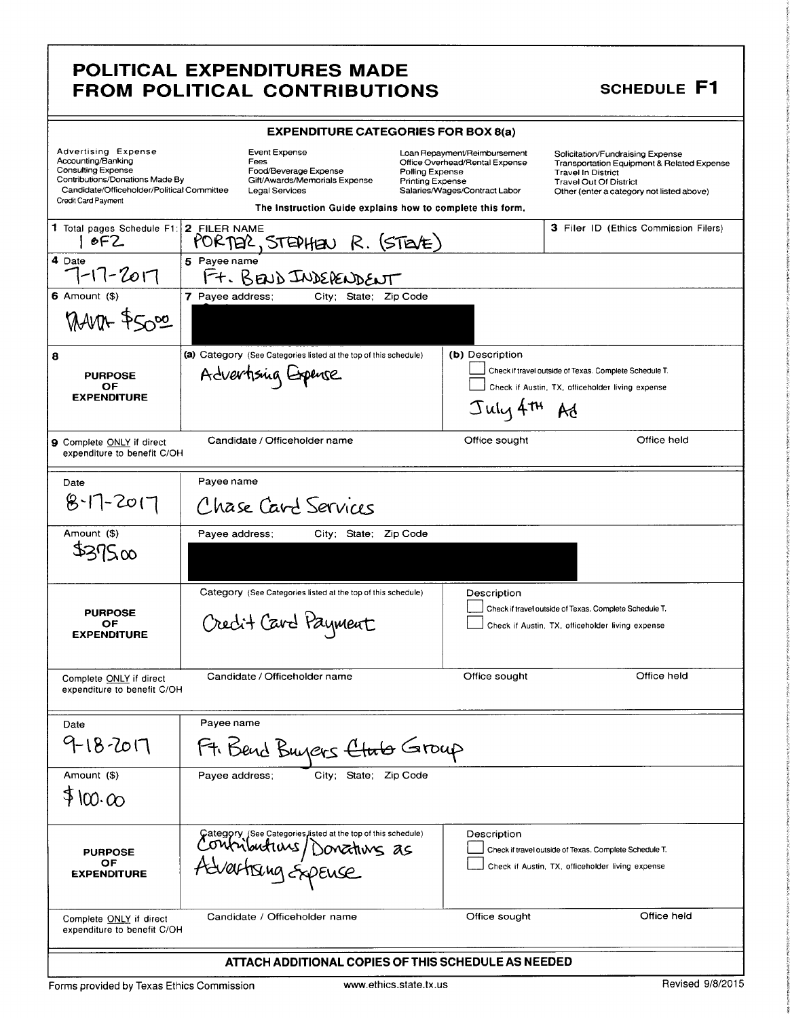## POLITICAL EXPENDITURES MADE FROM POLITICAL CONTRIBUTIONS

#### **SCHEDULE F1**

| <b>EXPENDITURE CATEGORIES FOR BOX 8(a)</b>                                                                                                                                     |                                                                                                                   |                                                                                                                                               |                                                                                                                                                                                                      |
|--------------------------------------------------------------------------------------------------------------------------------------------------------------------------------|-------------------------------------------------------------------------------------------------------------------|-----------------------------------------------------------------------------------------------------------------------------------------------|------------------------------------------------------------------------------------------------------------------------------------------------------------------------------------------------------|
| Advertising Expense<br>Accounting/Banking<br><b>Consulting Expense</b><br>Contributions/Donations Made By<br>Candidate/Officeholder/Political Committee<br>Credit Card Payment | Event Expense<br>Fees<br>Food/Beverage Expense<br>Gift/Awards/Memorials Expense<br><b>Legal Services</b>          | Loan Repayment/Reimbursement<br>Office Overhead/Rental Expense<br>Polling Expense<br><b>Printing Expense</b><br>Salaries/Wages/Contract Labor | Solicitation/Fundraising Expense<br><b>Transportation Equipment &amp; Related Expense</b><br><b>Travel In District</b><br><b>Travel Out Of District</b><br>Other (enter a category not listed above) |
|                                                                                                                                                                                | The instruction Guide explains how to complete this form.                                                         |                                                                                                                                               |                                                                                                                                                                                                      |
| 1 Total pages Schedule F1: 2 FILER NAME<br>6F2                                                                                                                                 | PORTER, STEDHEN R. (STEVE)                                                                                        |                                                                                                                                               | <b>3 Filer ID (Ethics Commission Filers)</b>                                                                                                                                                         |
| 4 Date<br>$7 - 17 - 2017$                                                                                                                                                      | 5 Payee name<br>Ft. BEND INDERENDENT                                                                              |                                                                                                                                               |                                                                                                                                                                                                      |
| $6$ Amount $(\$)$                                                                                                                                                              | 7 Payee address;<br>City; State; Zip Code                                                                         |                                                                                                                                               |                                                                                                                                                                                                      |
| MANN- \$5000                                                                                                                                                                   |                                                                                                                   |                                                                                                                                               |                                                                                                                                                                                                      |
| 8                                                                                                                                                                              | (a) Category (See Categories listed at the top of this schedule)                                                  | (b) Description                                                                                                                               |                                                                                                                                                                                                      |
| <b>PURPOSE</b>                                                                                                                                                                 | Advertising Expense                                                                                               |                                                                                                                                               | Check if travel outside of Texas. Complete Schedule T.                                                                                                                                               |
| ОF<br><b>EXPENDITURE</b>                                                                                                                                                       |                                                                                                                   |                                                                                                                                               | Check if Austin, TX, officeholder living expense                                                                                                                                                     |
|                                                                                                                                                                                |                                                                                                                   | $J$ uly $4^{\text{th}}$ Ad                                                                                                                    |                                                                                                                                                                                                      |
| <b>9</b> Complete ONLY if direct<br>expenditure to benefit C/OH                                                                                                                | Candidate / Officeholder name                                                                                     | Office sought                                                                                                                                 | Office held                                                                                                                                                                                          |
| Date                                                                                                                                                                           | Payee name                                                                                                        |                                                                                                                                               |                                                                                                                                                                                                      |
| $8 - 17 - 2017$                                                                                                                                                                | Chase Card Services                                                                                               |                                                                                                                                               |                                                                                                                                                                                                      |
| Amount (\$)                                                                                                                                                                    | Payee address;<br>City; State; Zip Code                                                                           |                                                                                                                                               |                                                                                                                                                                                                      |
| \$27500                                                                                                                                                                        |                                                                                                                   |                                                                                                                                               |                                                                                                                                                                                                      |
|                                                                                                                                                                                | Category (See Categories listed at the top of this schedule)                                                      | Description                                                                                                                                   |                                                                                                                                                                                                      |
| <b>PURPOSE</b><br>OF<br><b>EXPENDITURE</b>                                                                                                                                     | Credit Card Payment                                                                                               |                                                                                                                                               | Check if travel outside of Texas. Complete Schedule T.<br>Check if Austin, TX, officeholder living expense                                                                                           |
| Complete ONLY if direct<br>expenditure to benefit C/OH                                                                                                                         | Candidate / Officeholder name                                                                                     | Office sought                                                                                                                                 | Office held                                                                                                                                                                                          |
| Date                                                                                                                                                                           | Payee name                                                                                                        |                                                                                                                                               |                                                                                                                                                                                                      |
| 9-18-2017                                                                                                                                                                      | Ft. Bend Buyers <del>Club</del> Group                                                                             |                                                                                                                                               |                                                                                                                                                                                                      |
| Amount (\$)                                                                                                                                                                    | Payee address;<br>City; State; Zip Code                                                                           |                                                                                                                                               |                                                                                                                                                                                                      |
| \$100.00                                                                                                                                                                       |                                                                                                                   |                                                                                                                                               |                                                                                                                                                                                                      |
| <b>PURPOSE</b><br>ОF<br><b>EXPENDITURE</b>                                                                                                                                     | Category (See Categories listed at the top of this schedule)<br>Contributions/Donations as<br>Advertising Expense | Description                                                                                                                                   | Check if travel outside of Texas. Complete Schedule T.<br>Check if Austin, TX, officeholder living expense                                                                                           |
| Complete ONLY if direct<br>expenditure to benefit C/OH                                                                                                                         | Candidate / Officeholder name                                                                                     | Office sought                                                                                                                                 | Office held                                                                                                                                                                                          |
| ATTACH ADDITIONAL COPIES OF THIS SCHEDULE AS NEEDED                                                                                                                            |                                                                                                                   |                                                                                                                                               |                                                                                                                                                                                                      |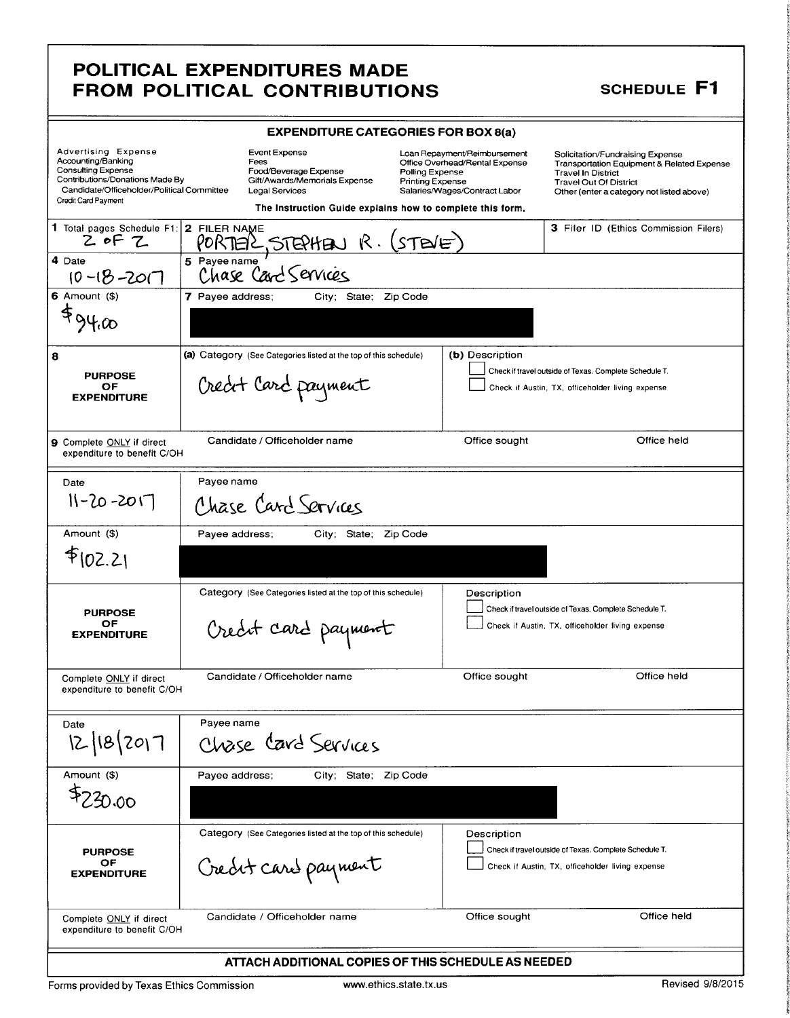## POLITICAL EXPENDITURES MADE FROM POLITICAL CONTRIBUTIONS

#### **SCHEDULE F1**

|                                                                                                                                                                                | <b>EXPENDITURE CATEGORIES FOR BOX 8(a)</b>                                                                                                                            |                                                                                                                                               |                                                                                                                                                                                           |
|--------------------------------------------------------------------------------------------------------------------------------------------------------------------------------|-----------------------------------------------------------------------------------------------------------------------------------------------------------------------|-----------------------------------------------------------------------------------------------------------------------------------------------|-------------------------------------------------------------------------------------------------------------------------------------------------------------------------------------------|
| Advertising Expense<br>Accounting/Banking<br><b>Consulting Expense</b><br>Contributions/Donations Made By<br>Candidate/Officeholder/Political Committee<br>Credit Card Payment | <b>Event Expense</b><br>Fees<br>Food/Beverage Expense<br>Gift/Awards/Memorials Expense<br>Legal Services<br>The Instruction Guide explains how to complete this form. | Loan Repayment/Reimbursement<br>Office Overhead/Rental Expense<br>Polling Expense<br><b>Printing Expense</b><br>Salaries/Wages/Contract Labor | Solicitation/Fundraising Expense<br>Transportation Equipment & Related Expense<br><b>Travel In District</b><br><b>Travel Out Of District</b><br>Other (enter a category not listed above) |
| 1 Total pages Schedule F1: 2 FILER NAME<br>$2$ of $7$                                                                                                                          | STEPHEN R. (STEVE)<br>PORTERL                                                                                                                                         |                                                                                                                                               | 3 Filer ID (Ethics Commission Filers)                                                                                                                                                     |
| 4 Date<br>$10 - 18 - 201$                                                                                                                                                      | 5 Pavee name<br>Chase Card Services                                                                                                                                   |                                                                                                                                               |                                                                                                                                                                                           |
| $6$ Amount $($ )<br>494.00                                                                                                                                                     | 7 Payee address;<br>City; State; Zip Code                                                                                                                             |                                                                                                                                               |                                                                                                                                                                                           |
| 8<br><b>PURPOSE</b><br>ОF<br><b>EXPENDITURE</b>                                                                                                                                | (a) Category (See Categories listed at the top of this schedule)<br>Creat Card payment                                                                                | (b) Description                                                                                                                               | Check if travel outside of Texas. Complete Schedule T.<br>Check if Austin, TX, officeholder living expense                                                                                |
| 9 Complete ONLY if direct<br>expenditure to benefit C/OH                                                                                                                       | Candidate / Officeholder name                                                                                                                                         | Office sought                                                                                                                                 | Office held                                                                                                                                                                               |
| Date<br>$11 - 20 - 2017$                                                                                                                                                       | Payee name<br>Chase Card Services                                                                                                                                     |                                                                                                                                               |                                                                                                                                                                                           |
| Amount (\$)                                                                                                                                                                    | Payee address;<br>City; State;                                                                                                                                        | Zip Code                                                                                                                                      |                                                                                                                                                                                           |
| f(02.2)                                                                                                                                                                        |                                                                                                                                                                       |                                                                                                                                               |                                                                                                                                                                                           |
| <b>PURPOSE</b><br>OF<br><b>EXPENDITURE</b>                                                                                                                                     | Category (See Categories listed at the top of this schedule)<br>Creat card payment                                                                                    | Description                                                                                                                                   | Check if travel outside of Texas. Complete Schedule T.<br>Check if Austin, TX, officeholder living expense                                                                                |
| Complete ONLY if direct<br>expenditure to benefit C/OH                                                                                                                         | Candidate / Officeholder name                                                                                                                                         | Office sought                                                                                                                                 | Office held                                                                                                                                                                               |
| Date<br>12/18/2017                                                                                                                                                             | Payee name<br>Chase Card Services                                                                                                                                     |                                                                                                                                               |                                                                                                                                                                                           |
| Amount (\$)<br>\$720.00                                                                                                                                                        | Payee address;<br>City: State: Zip Code                                                                                                                               |                                                                                                                                               |                                                                                                                                                                                           |
| <b>PURPOSE</b><br>OF<br><b>EXPENDITURE</b>                                                                                                                                     | Category (See Categories listed at the top of this schedule)<br>Creat card payment                                                                                    | Description                                                                                                                                   | Check if travel outside of Texas. Complete Schedule T.<br>Check if Austin, TX, officeholder living expense                                                                                |
| Complete ONLY if direct<br>expenditure to benefit C/OH                                                                                                                         | Candidate / Officeholder name                                                                                                                                         | Office sought                                                                                                                                 | Office held                                                                                                                                                                               |
|                                                                                                                                                                                | ATTACH ADDITIONAL COPIES OF THIS SCHEDULE AS NEEDED                                                                                                                   |                                                                                                                                               |                                                                                                                                                                                           |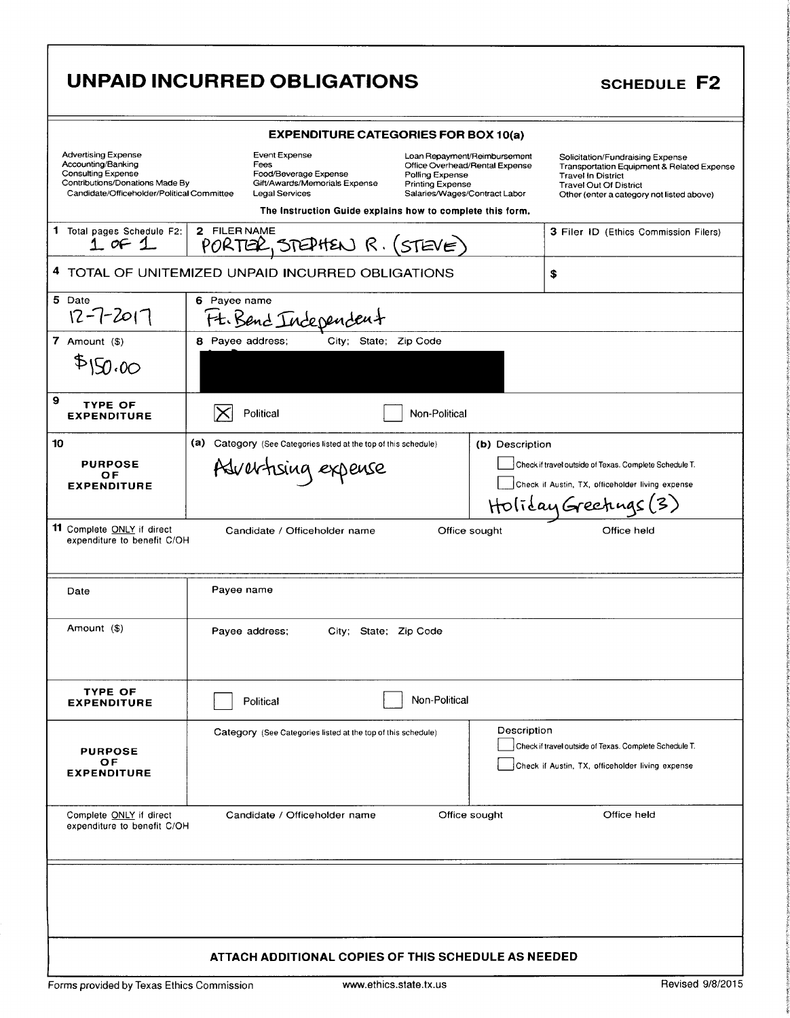|                                                                                                                                                                | UNPAID INCURRED OBLIGATIONS                                                                                                                                                                                                                                                                                     | <b>SCHEDULE F2</b>                                                                                                                                                                        |
|----------------------------------------------------------------------------------------------------------------------------------------------------------------|-----------------------------------------------------------------------------------------------------------------------------------------------------------------------------------------------------------------------------------------------------------------------------------------------------------------|-------------------------------------------------------------------------------------------------------------------------------------------------------------------------------------------|
|                                                                                                                                                                | <b>EXPENDITURE CATEGORIES FOR BOX 10(a)</b>                                                                                                                                                                                                                                                                     |                                                                                                                                                                                           |
| <b>Advertising Expense</b><br>Accounting/Banking<br><b>Consulting Expense</b><br>Contributions/Donations Made By<br>Candidate/Officeholder/Political Committee | Event Expense<br>Loan Repayment/Reimbursement<br>Fees<br>Office Overhead/Rental Expense<br>Food/Beverage Expense<br>Polling Expense<br>Gift/Awards/Memorials Expense<br>Printing Expense<br><b>Legal Services</b><br>Salaries/Wages/Contract Labor<br>The Instruction Guide explains how to complete this form. | Solicitation/Fundraising Expense<br>Transportation Equipment & Related Expense<br><b>Travel In District</b><br><b>Travel Out Of District</b><br>Other (enter a category not listed above) |
| 1 Total pages Schedule F2:<br>$1$ of $1$                                                                                                                       | 2 FILER NAME<br>PORTER, STEPHEN $R \cdot (STENE)$                                                                                                                                                                                                                                                               | 3 Filer ID (Ethics Commission Filers)                                                                                                                                                     |
|                                                                                                                                                                | 4 TOTAL OF UNITEMIZED UNPAID INCURRED OBLIGATIONS                                                                                                                                                                                                                                                               | \$                                                                                                                                                                                        |
| 5 Date<br>$12 - 7 - 2017$                                                                                                                                      | 6 Payee name<br>Ft. Bend Independent                                                                                                                                                                                                                                                                            |                                                                                                                                                                                           |
| 7 Amount $($)$                                                                                                                                                 | City; State; Zip Code<br>8 Payee address;                                                                                                                                                                                                                                                                       |                                                                                                                                                                                           |
| \$150.00                                                                                                                                                       |                                                                                                                                                                                                                                                                                                                 |                                                                                                                                                                                           |
| 9<br><b>TYPE OF</b><br><b>EXPENDITURE</b>                                                                                                                      | Political<br>Non-Political                                                                                                                                                                                                                                                                                      |                                                                                                                                                                                           |
| 10                                                                                                                                                             | (a)<br>Category (See Categories listed at the top of this schedule)<br>(b) Description                                                                                                                                                                                                                          |                                                                                                                                                                                           |
| <b>PURPOSE</b><br><b>OF</b>                                                                                                                                    | Advertising expense                                                                                                                                                                                                                                                                                             | Check if travel outside of Texas. Complete Schedule T.                                                                                                                                    |
| <b>EXPENDITURE</b>                                                                                                                                             |                                                                                                                                                                                                                                                                                                                 | Check if Austin, TX, officeholder living expense<br>Holiday Greetings (3)                                                                                                                 |
| 11 Complete ONLY if direct<br>expenditure to benefit C/OH                                                                                                      | Candidate / Officeholder name<br>Office sought                                                                                                                                                                                                                                                                  | Office held                                                                                                                                                                               |
| Date                                                                                                                                                           | Payee name                                                                                                                                                                                                                                                                                                      |                                                                                                                                                                                           |
| Amount (\$)                                                                                                                                                    | Payee address;<br>City; State; Zip Code                                                                                                                                                                                                                                                                         |                                                                                                                                                                                           |
| <b>TYPE OF</b><br><b>EXPENDITURE</b>                                                                                                                           | Non-Political<br><b>Political</b>                                                                                                                                                                                                                                                                               |                                                                                                                                                                                           |
| <b>PURPOSE</b><br>OF<br><b>EXPENDITURE</b>                                                                                                                     | Description<br>Category (See Categories listed at the top of this schedule)                                                                                                                                                                                                                                     | Check if travel outside of Texas. Complete Schedule T.<br>Check if Austin, TX, officeholder living expense                                                                                |
| Complete ONLY if direct<br>expenditure to benefit C/OH                                                                                                         | Candidate / Officeholder name<br>Office sought                                                                                                                                                                                                                                                                  | Office held                                                                                                                                                                               |
|                                                                                                                                                                |                                                                                                                                                                                                                                                                                                                 |                                                                                                                                                                                           |
| Forms provided by Texas Ethics Commission                                                                                                                      | ATTACH ADDITIONAL COPIES OF THIS SCHEDULE AS NEEDED<br>www.ethics.state.tx.us                                                                                                                                                                                                                                   | Revised 9/8/2015                                                                                                                                                                          |

I f<br>f n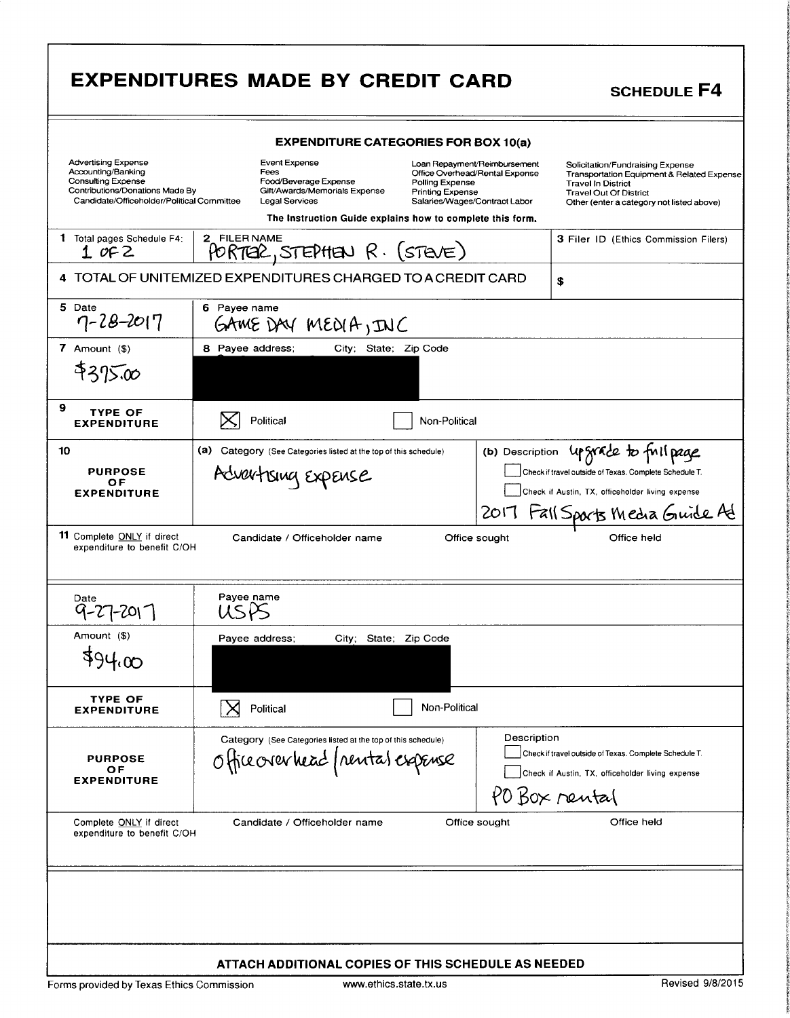|                                                                                                                                                                | <b>EXPENDITURES MADE BY CREDIT CARD</b>                                                                                                                                                                                                                                                                  | <b>SCHEDULE F4</b>                                                                                                                                                                                   |
|----------------------------------------------------------------------------------------------------------------------------------------------------------------|----------------------------------------------------------------------------------------------------------------------------------------------------------------------------------------------------------------------------------------------------------------------------------------------------------|------------------------------------------------------------------------------------------------------------------------------------------------------------------------------------------------------|
|                                                                                                                                                                | <b>EXPENDITURE CATEGORIES FOR BOX 10(a)</b>                                                                                                                                                                                                                                                              |                                                                                                                                                                                                      |
| <b>Advertising Expense</b><br>Accounting/Banking<br><b>Consulting Expense</b><br>Contributions/Donations Made By<br>Candidate/Officeholder/Political Committee | Event Expense<br>Loan Repayment/Reimbursement<br>Fees<br>Office Overhead/Rental Expense<br>Food/Beverage Expense<br>Polling Expense<br>Gift/Awards/Memorials Expense<br>Printing Expense<br>Legal Services<br>Salaries/Wages/Contract Labor<br>The Instruction Guide explains how to complete this form. | Solicitation/Fundraising Expense<br><b>Transportation Equipment &amp; Related Expense</b><br><b>Travel In District</b><br><b>Travel Out Of District</b><br>Other (enter a category not listed above) |
| 1 Total pages Schedule F4:<br>$1$ of 2                                                                                                                         | 2 FILER NAME<br>PORTER, STEPHEN R. (STEVE)                                                                                                                                                                                                                                                               | 3 Filer ID (Ethics Commission Filers)                                                                                                                                                                |
|                                                                                                                                                                | 4 TOTAL OF UNITEMIZED EXPENDITURES CHARGED TO A CREDIT CARD                                                                                                                                                                                                                                              | \$                                                                                                                                                                                                   |
| 5 Date<br>$7 - 28 - 2017$                                                                                                                                      | 6 Payee name<br>GAME DAY MEDIA, INC                                                                                                                                                                                                                                                                      |                                                                                                                                                                                                      |
| $7$ Amount $(\$)$                                                                                                                                              | 8 Payee address;<br>City; State; Zip Code                                                                                                                                                                                                                                                                |                                                                                                                                                                                                      |
| \$375.00                                                                                                                                                       |                                                                                                                                                                                                                                                                                                          |                                                                                                                                                                                                      |
| 9<br><b>TYPE OF</b><br><b>EXPENDITURE</b>                                                                                                                      | Political<br>Non-Political                                                                                                                                                                                                                                                                               |                                                                                                                                                                                                      |
| 10<br><b>PURPOSE</b><br>ОF<br><b>EXPENDITURE</b>                                                                                                               | (a) Category (See Categories listed at the top of this schedule)<br>(b) Description<br>Advertising Expense                                                                                                                                                                                               | upgrade to full page<br>Check if travel outside of Texas. Complete Schedule T.<br>Check if Austin, TX, officeholder living expense<br>2017 Fall Sports Media Guide Ad                                |
| <b>11</b> Complete ONLY if direct<br>expenditure to benefit C/OH                                                                                               | Candidate / Officeholder name<br>Office sought                                                                                                                                                                                                                                                           | Office held                                                                                                                                                                                          |
| Date<br>9-27-201                                                                                                                                               | Payee name<br>USPS                                                                                                                                                                                                                                                                                       |                                                                                                                                                                                                      |
| Amount (\$)                                                                                                                                                    | Payee address;<br>City; State; Zip Code                                                                                                                                                                                                                                                                  |                                                                                                                                                                                                      |
| 494.00                                                                                                                                                         |                                                                                                                                                                                                                                                                                                          |                                                                                                                                                                                                      |
| TYPE OF<br><b>EXPENDITURE</b>                                                                                                                                  | Non-Political<br>Political                                                                                                                                                                                                                                                                               |                                                                                                                                                                                                      |
| <b>PURPOSE</b><br>ОF<br><b>EXPENDITURE</b>                                                                                                                     | Description<br>Category (See Categories listed at the top of this schedule)<br>Office over head (nental expense<br>PO Box rental                                                                                                                                                                         | Check if travel outside of Texas. Complete Schedule T.<br>Check if Austin, TX, officeholder living expense                                                                                           |
| Complete ONLY if direct<br>expenditure to benefit C/OH                                                                                                         | Candidate / Officeholder name<br>Office sought                                                                                                                                                                                                                                                           | Office held                                                                                                                                                                                          |
| Forms provided by Texas Ethics Commission                                                                                                                      | ATTACH ADDITIONAL COPIES OF THIS SCHEDULE AS NEEDED<br>www.ethics.state.tx.us                                                                                                                                                                                                                            | Revised 9/8/2015                                                                                                                                                                                     |